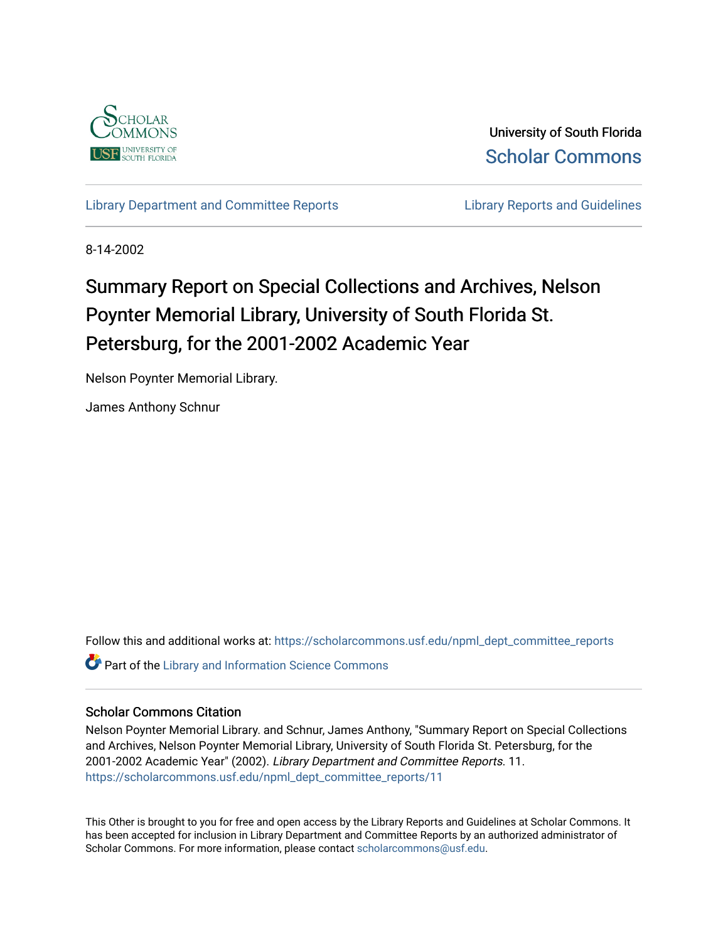

University of South Florida [Scholar Commons](https://scholarcommons.usf.edu/) 

[Library Department and Committee Reports](https://scholarcommons.usf.edu/npml_dept_committee_reports) **Library Reports and Guidelines** 

8-14-2002

# Summary Report on Special Collections and Archives, Nelson Poynter Memorial Library, University of South Florida St. Petersburg, for the 2001-2002 Academic Year

Nelson Poynter Memorial Library.

James Anthony Schnur

Follow this and additional works at: [https://scholarcommons.usf.edu/npml\\_dept\\_committee\\_reports](https://scholarcommons.usf.edu/npml_dept_committee_reports?utm_source=scholarcommons.usf.edu%2Fnpml_dept_committee_reports%2F11&utm_medium=PDF&utm_campaign=PDFCoverPages) **Part of the Library and Information Science Commons** 

#### Scholar Commons Citation

Nelson Poynter Memorial Library. and Schnur, James Anthony, "Summary Report on Special Collections and Archives, Nelson Poynter Memorial Library, University of South Florida St. Petersburg, for the 2001-2002 Academic Year" (2002). Library Department and Committee Reports. 11. [https://scholarcommons.usf.edu/npml\\_dept\\_committee\\_reports/11](https://scholarcommons.usf.edu/npml_dept_committee_reports/11?utm_source=scholarcommons.usf.edu%2Fnpml_dept_committee_reports%2F11&utm_medium=PDF&utm_campaign=PDFCoverPages) 

This Other is brought to you for free and open access by the Library Reports and Guidelines at Scholar Commons. It has been accepted for inclusion in Library Department and Committee Reports by an authorized administrator of Scholar Commons. For more information, please contact [scholarcommons@usf.edu](mailto:scholarcommons@usf.edu).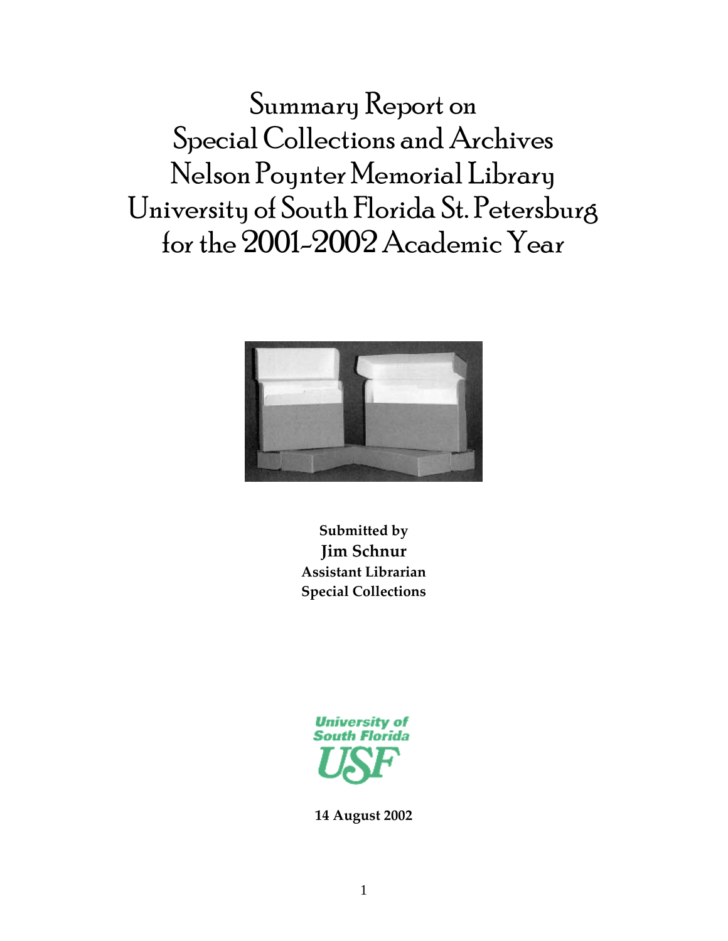Summary Report on Special Collections and Archives Nelson Poynter Memorial Library University of South Florida St. Petersburg for the 2001-2002 Academic Year



**Submitted by Jim Schnur Assistant Librarian Special Collections**



**14 August 2002**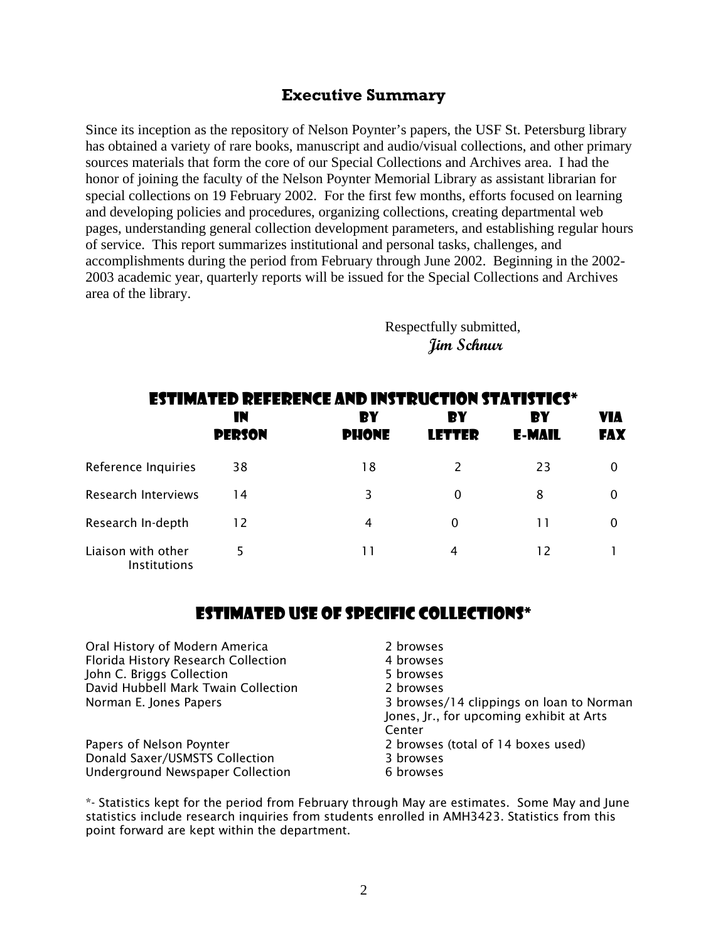### **Executive Summary**

Since its inception as the repository of Nelson Poynter's papers, the USF St. Petersburg library has obtained a variety of rare books, manuscript and audio/visual collections, and other primary sources materials that form the core of our Special Collections and Archives area. I had the honor of joining the faculty of the Nelson Poynter Memorial Library as assistant librarian for special collections on 19 February 2002. For the first few months, efforts focused on learning and developing policies and procedures, organizing collections, creating departmental web pages, understanding general collection development parameters, and establishing regular hours of service. This report summarizes institutional and personal tasks, challenges, and accomplishments during the period from February through June 2002. Beginning in the 2002- 2003 academic year, quarterly reports will be issued for the Special Collections and Archives area of the library.

> Respectfully submitted, **Jim Schnur**

| <b>ESTIMATED REFERENCE AND INSTRUCTION STATISTICS*</b> |                     |                    |                     |                     |            |  |  |
|--------------------------------------------------------|---------------------|--------------------|---------------------|---------------------|------------|--|--|
|                                                        | IN<br><b>PERSON</b> | ВY<br><b>PHONE</b> | RY<br><b>LETTER</b> | ЕY<br><b>E-MAIL</b> | VIA<br>FAX |  |  |
| Reference Inquiries                                    | 38                  | 18                 | 2                   | 23                  | $\Omega$   |  |  |
| <b>Research Interviews</b>                             | 14                  | 3                  | 0                   | 8                   | 0          |  |  |
| Research In-depth                                      | 12                  | 4                  | $\Omega$            |                     | 0          |  |  |
| Liaison with other<br><b>Institutions</b>              | 5                   | 11                 | 4                   | 12                  |            |  |  |

## ESTIMATED USE OF SPECIFIC COLLECTIONS\*

| Oral History of Modern America          | 2 browses                                                                                      |
|-----------------------------------------|------------------------------------------------------------------------------------------------|
| Florida History Research Collection     | 4 browses                                                                                      |
| John C. Briggs Collection               | 5 browses                                                                                      |
| David Hubbell Mark Twain Collection     | 2 browses                                                                                      |
| Norman E. Jones Papers                  | 3 browses/14 clippings on loan to Norman<br>Jones, Jr., for upcoming exhibit at Arts<br>Center |
| Papers of Nelson Poynter                | 2 browses (total of 14 boxes used)                                                             |
| Donald Saxer/USMSTS Collection          | 3 browses                                                                                      |
| <b>Underground Newspaper Collection</b> | 6 browses                                                                                      |

\*- Statistics kept for the period from February through May are estimates. Some May and June statistics include research inquiries from students enrolled in AMH3423. Statistics from this point forward are kept within the department.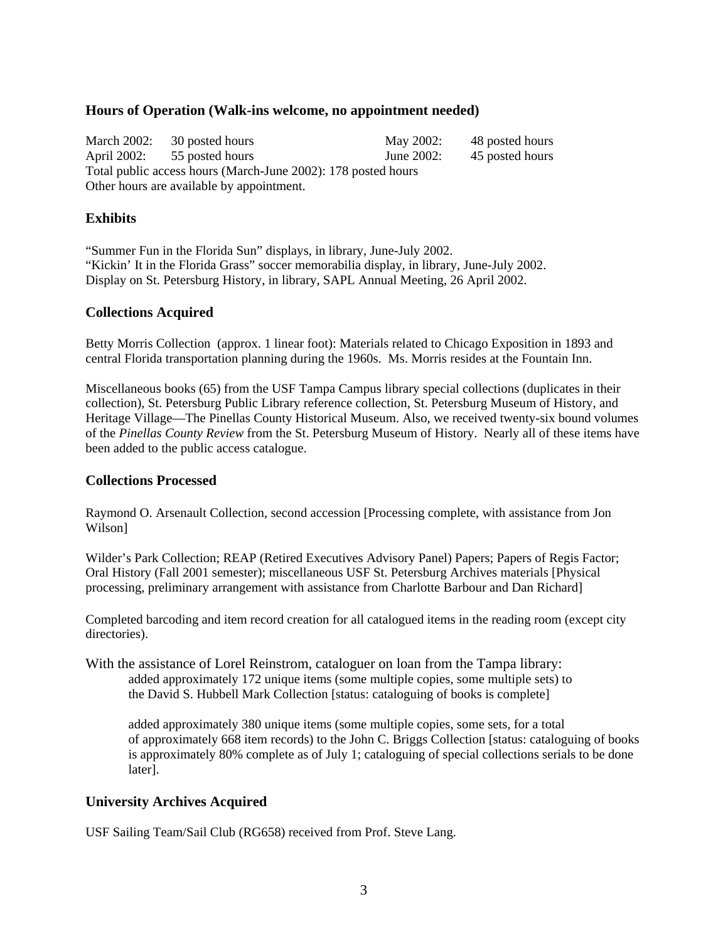#### **Hours of Operation (Walk-ins welcome, no appointment needed)**

March 2002: 30 posted hours May 2002: 48 posted hours April 2002: 55 posted hours June 2002: 45 posted hours Total public access hours (March-June 2002): 178 posted hours Other hours are available by appointment.

#### **Exhibits**

"Summer Fun in the Florida Sun" displays, in library, June-July 2002. "Kickin' It in the Florida Grass" soccer memorabilia display, in library, June-July 2002. Display on St. Petersburg History, in library, SAPL Annual Meeting, 26 April 2002.

#### **Collections Acquired**

Betty Morris Collection (approx. 1 linear foot): Materials related to Chicago Exposition in 1893 and central Florida transportation planning during the 1960s. Ms. Morris resides at the Fountain Inn.

Miscellaneous books (65) from the USF Tampa Campus library special collections (duplicates in their collection), St. Petersburg Public Library reference collection, St. Petersburg Museum of History, and Heritage Village—The Pinellas County Historical Museum. Also, we received twenty-six bound volumes of the *Pinellas County Review* from the St. Petersburg Museum of History. Nearly all of these items have been added to the public access catalogue.

#### **Collections Processed**

Raymond O. Arsenault Collection, second accession [Processing complete, with assistance from Jon Wilson]

Wilder's Park Collection; REAP (Retired Executives Advisory Panel) Papers; Papers of Regis Factor; Oral History (Fall 2001 semester); miscellaneous USF St. Petersburg Archives materials [Physical processing, preliminary arrangement with assistance from Charlotte Barbour and Dan Richard]

Completed barcoding and item record creation for all catalogued items in the reading room (except city directories).

With the assistance of Lorel Reinstrom, cataloguer on loan from the Tampa library: added approximately 172 unique items (some multiple copies, some multiple sets) to the David S. Hubbell Mark Collection [status: cataloguing of books is complete]

 added approximately 380 unique items (some multiple copies, some sets, for a total of approximately 668 item records) to the John C. Briggs Collection [status: cataloguing of books is approximately 80% complete as of July 1; cataloguing of special collections serials to be done later].

#### **University Archives Acquired**

USF Sailing Team/Sail Club (RG658) received from Prof. Steve Lang.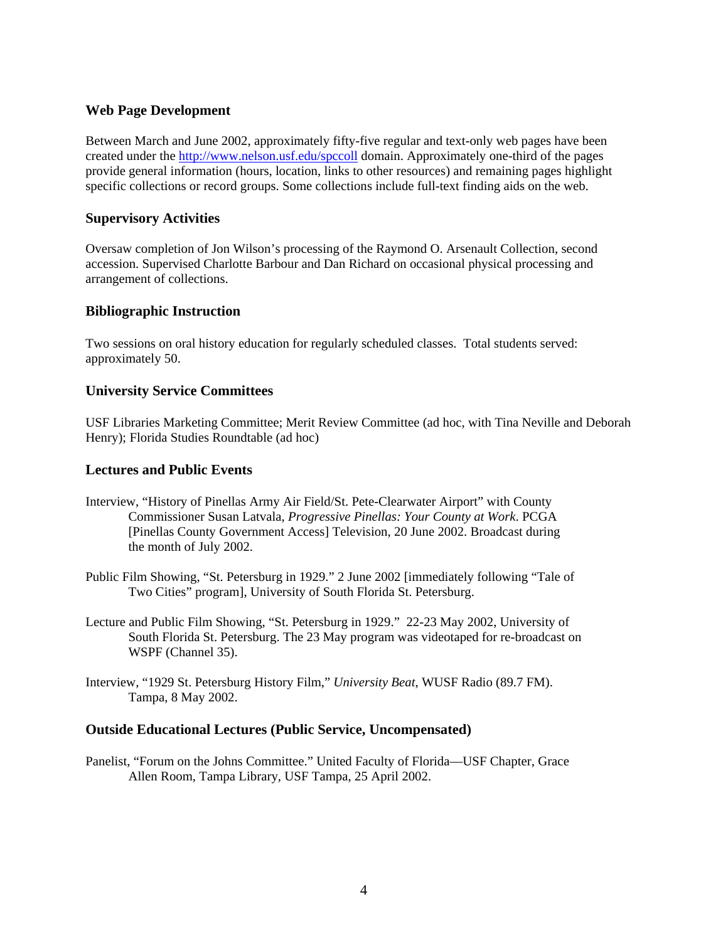#### **Web Page Development**

Between March and June 2002, approximately fifty-five regular and text-only web pages have been created under the http://www.nelson.usf.edu/spccoll domain. Approximately one-third of the pages provide general information (hours, location, links to other resources) and remaining pages highlight specific collections or record groups. Some collections include full-text finding aids on the web.

#### **Supervisory Activities**

Oversaw completion of Jon Wilson's processing of the Raymond O. Arsenault Collection, second accession. Supervised Charlotte Barbour and Dan Richard on occasional physical processing and arrangement of collections.

#### **Bibliographic Instruction**

Two sessions on oral history education for regularly scheduled classes. Total students served: approximately 50.

#### **University Service Committees**

USF Libraries Marketing Committee; Merit Review Committee (ad hoc, with Tina Neville and Deborah Henry); Florida Studies Roundtable (ad hoc)

#### **Lectures and Public Events**

- Interview, "History of Pinellas Army Air Field/St. Pete-Clearwater Airport" with County Commissioner Susan Latvala, *Progressive Pinellas: Your County at Work*. PCGA [Pinellas County Government Access] Television, 20 June 2002. Broadcast during the month of July 2002.
- Public Film Showing, "St. Petersburg in 1929." 2 June 2002 [immediately following "Tale of Two Cities" program], University of South Florida St. Petersburg.
- Lecture and Public Film Showing, "St. Petersburg in 1929." 22-23 May 2002, University of South Florida St. Petersburg. The 23 May program was videotaped for re-broadcast on WSPF (Channel 35).
- Interview, "1929 St. Petersburg History Film," *University Beat*, WUSF Radio (89.7 FM). Tampa, 8 May 2002.

#### **Outside Educational Lectures (Public Service, Uncompensated)**

Panelist, "Forum on the Johns Committee." United Faculty of Florida—USF Chapter, Grace Allen Room, Tampa Library, USF Tampa, 25 April 2002.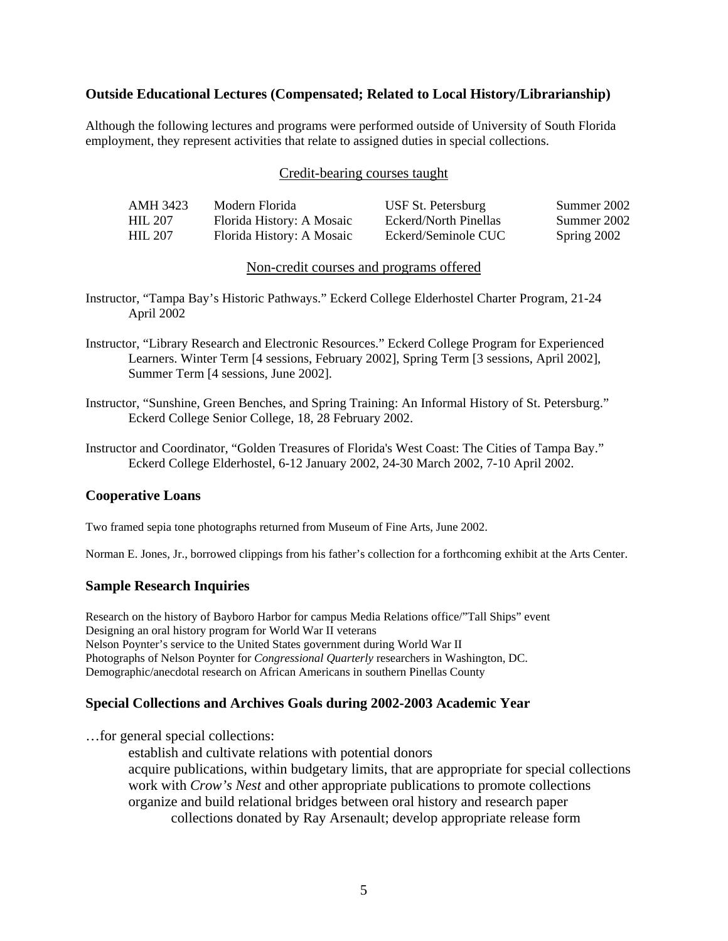#### **Outside Educational Lectures (Compensated; Related to Local History/Librarianship)**

Although the following lectures and programs were performed outside of University of South Florida employment, they represent activities that relate to assigned duties in special collections.

#### Credit-bearing courses taught

| AMH 3423       | Modern Florida            | USF St. Petersburg    | Summer 2002 |
|----------------|---------------------------|-----------------------|-------------|
| <b>HIL 207</b> | Florida History: A Mosaic | Eckerd/North Pinellas | Summer 2002 |
| <b>HIL 207</b> | Florida History: A Mosaic | Eckerd/Seminole CUC   | Spring 2002 |

#### Non-credit courses and programs offered

- Instructor, "Tampa Bay's Historic Pathways." Eckerd College Elderhostel Charter Program, 21-24 April 2002
- Instructor, "Library Research and Electronic Resources." Eckerd College Program for Experienced Learners. Winter Term [4 sessions, February 2002], Spring Term [3 sessions, April 2002], Summer Term [4 sessions, June 2002].
- Instructor, "Sunshine, Green Benches, and Spring Training: An Informal History of St. Petersburg." Eckerd College Senior College, 18, 28 February 2002.
- Instructor and Coordinator, "Golden Treasures of Florida's West Coast: The Cities of Tampa Bay." Eckerd College Elderhostel, 6-12 January 2002, 24-30 March 2002, 7-10 April 2002.

#### **Cooperative Loans**

Two framed sepia tone photographs returned from Museum of Fine Arts, June 2002.

Norman E. Jones, Jr., borrowed clippings from his father's collection for a forthcoming exhibit at the Arts Center.

#### **Sample Research Inquiries**

Research on the history of Bayboro Harbor for campus Media Relations office/"Tall Ships" event Designing an oral history program for World War II veterans Nelson Poynter's service to the United States government during World War II Photographs of Nelson Poynter for *Congressional Quarterly* researchers in Washington, DC. Demographic/anecdotal research on African Americans in southern Pinellas County

#### **Special Collections and Archives Goals during 2002-2003 Academic Year**

…for general special collections:

 establish and cultivate relations with potential donors acquire publications, within budgetary limits, that are appropriate for special collections work with *Crow's Nest* and other appropriate publications to promote collections organize and build relational bridges between oral history and research paper collections donated by Ray Arsenault; develop appropriate release form